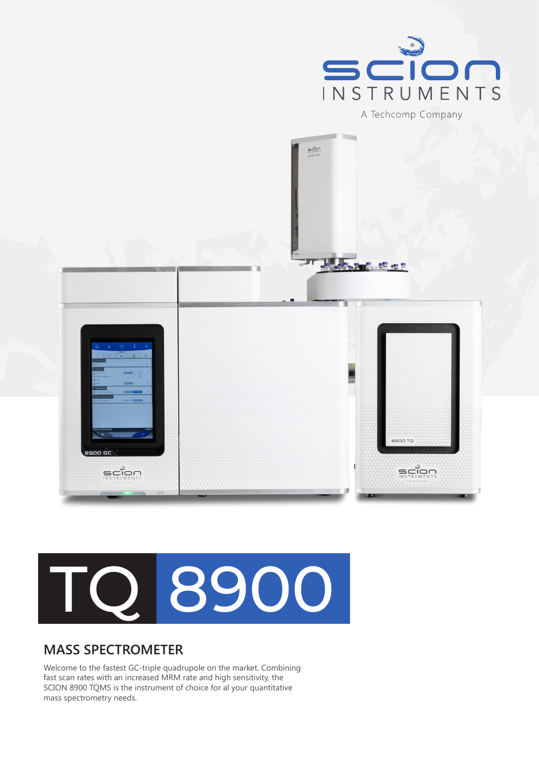





## **MASS SPECTROMETER**

Welcome to the fastest GC-triple quadrupole on the market. Combining fast scan rates with an increased MRM rate and high sensitivity, the SCION 8900 TQMS is the instrument of choice for al your quantitative mass spectrometry needs.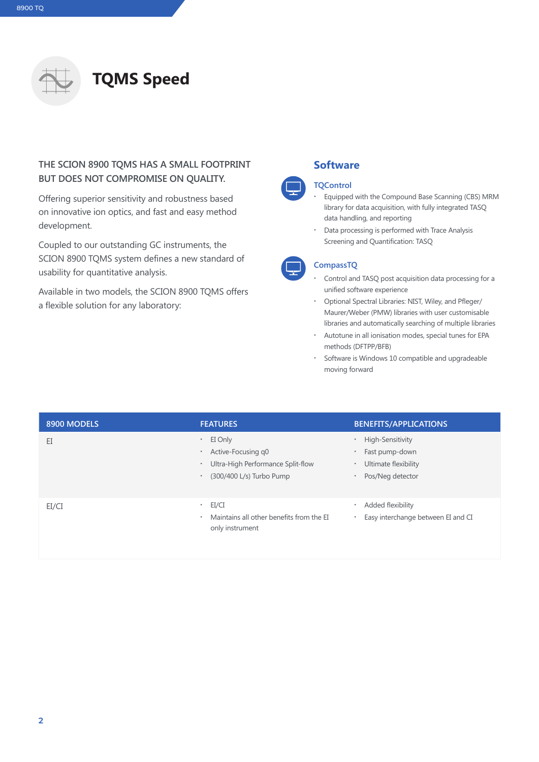

## **THE SCION 8900 TQMS HAS A SMALL FOOTPRINT BUT DOES NOT COMPROMISE ON QUALITY.**

Offering superior sensitivity and robustness based on innovative ion optics, and fast and easy method development.

Coupled to our outstanding GC instruments, the SCION 8900 TQMS system defines a new standard of usability for quantitative analysis.

Available in two models, the SCION 8900 TQMS offers a flexible solution for any laboratory:

## **Software**

#### **TQControl**

- **∙** Equipped with the Compound Base Scanning (CBS) MRM library for data acquisition, with fully integrated TASQ data handling, and reporting
- **∙** Data processing is performed with Trace Analysis Screening and Quantification: TASQ

### **CompassTQ**

- **∙** Control and TASQ post acquisition data processing for a unified software experience
- **∙** Optional Spectral Libraries: NIST, Wiley, and Pfleger/ Maurer/Weber (PMW) libraries with user customisable libraries and automatically searching of multiple libraries
- **∙** Autotune in all ionisation modes, special tunes for EPA methods (DFTPP/BFB)
- **∙** Software is Windows 10 compatible and upgradeable moving forward

| 8900 MODELS | <b>FEATURES</b>                                                                                                                                    | <b>BENEFITS/APPLICATIONS</b>                                                                                                       |
|-------------|----------------------------------------------------------------------------------------------------------------------------------------------------|------------------------------------------------------------------------------------------------------------------------------------|
| EI          | EI Only<br>$\bullet$<br>Active-Focusing q0<br>$\bullet$<br>Ultra-High Performance Split-flow<br>$\bullet$<br>(300/400 L/s) Turbo Pump<br>$\bullet$ | High-Sensitivity<br>$\bullet$<br>Fast pump-down<br>$\bullet$<br>Ultimate flexibility<br>$\bullet$<br>Pos/Neg detector<br>$\bullet$ |
| EI/CI       | $\cdot$ EI/CI<br>Maintains all other benefits from the EI<br>٠<br>only instrument                                                                  | Added flexibility<br>٠<br>Easy interchange between EI and CI<br>٠                                                                  |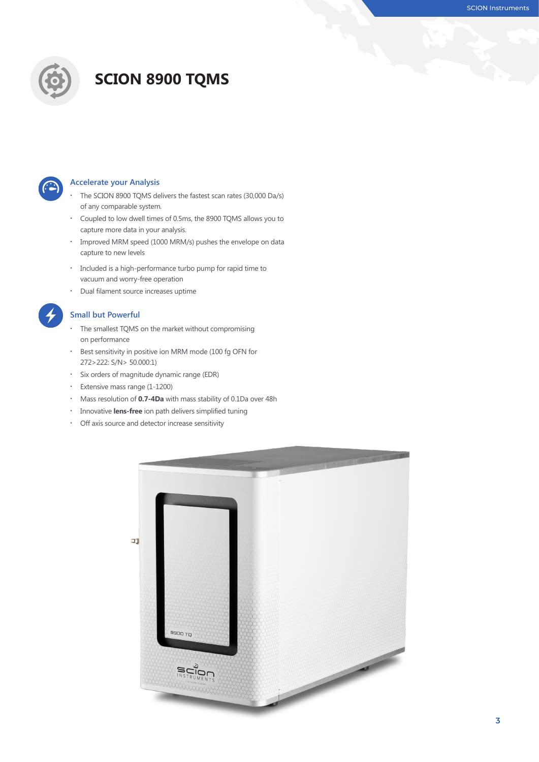

# **SCION 8900 TQMS**



#### **Accelerate your Analysis**

- **∙** The SCION 8900 TQMS delivers the fastest scan rates (30,000 Da/s) of any comparable system.
- **∙** Coupled to low dwell times of 0.5ms, the 8900 TQMS allows you to capture more data in your analysis.
- **∙** Improved MRM speed (1000 MRM/s) pushes the envelope on data capture to new levels
- **∙** Included is a high-performance turbo pump for rapid time to vacuum and worry-free operation
- **∙** Dual filament source increases uptime



#### **Small but Powerful**

- **∙** The smallest TQMS on the market without compromising on performance
- **∙** Best sensitivity in positive ion MRM mode (100 fg OFN for 272>222: S/N> 50.000:1)
- **∙** Six orders of magnitude dynamic range (EDR)
- **∙** Extensive mass range (1-1200)
- **∙** Mass resolution of **0.7-4Da** with mass stability of 0.1Da over 48h
- **∙** Innovative **lens-free** ion path delivers simplified tuning
- **∙** Off axis source and detector increase sensitivity

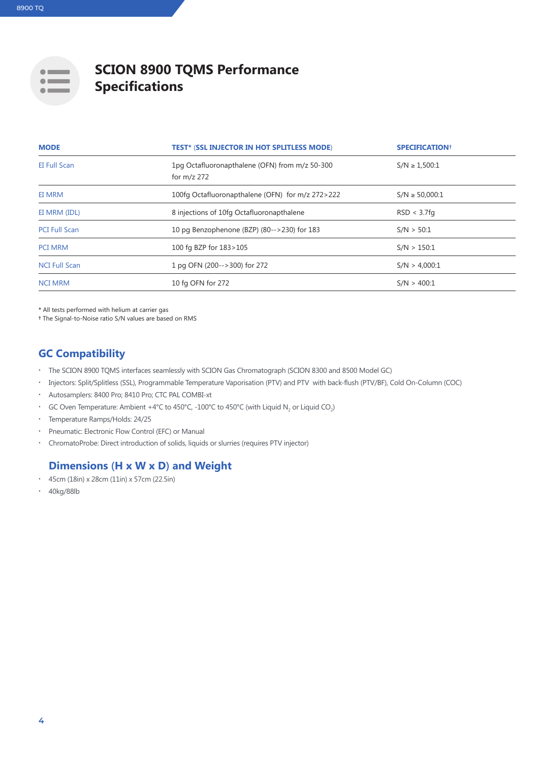

## **SCION 8900 TQMS Performance Specifications**

| <b>MODE</b>          | <b>TEST* (SSL INJECTOR IN HOT SPLITLESS MODE)</b>               | <b>SPECIFICATION</b> <sup>+</sup> |
|----------------------|-----------------------------------------------------------------|-----------------------------------|
| <b>EI Full Scan</b>  | 1pg Octafluoronapthalene (OFN) from m/z 50-300<br>for $m/z$ 272 | $S/N \ge 1,500:1$                 |
| EI MRM               | 100fg Octafluoronapthalene (OFN) for m/z 272>222                | $S/N \ge 50,000:1$                |
| EI MRM (IDL)         | 8 injections of 10fg Octafluoronapthalene                       | RSD < 3.7fg                       |
| <b>PCI Full Scan</b> | 10 pg Benzophenone (BZP) (80-->230) for 183                     | S/N > 50:1                        |
| <b>PCI MRM</b>       | 100 fg BZP for 183>105                                          | S/N > 150:1                       |
| <b>NCI Full Scan</b> | 1 pg OFN (200-->300) for 272                                    | S/N > 4,000:1                     |
| <b>NCI MRM</b>       | 10 fg OFN for 272                                               | S/N > 400:1                       |

**\*** All tests performed with helium at carrier gas

**†** The Signal-to-Noise ratio S/N values are based on RMS

## **GC Compatibility**

- **∙** The SCION 8900 TQMS interfaces seamlessly with SCION Gas Chromatograph (SCION 8300 and 8500 Model GC)
- **∙** Injectors: Split/Splitless (SSL), Programmable Temperature Vaporisation (PTV) and PTV with back-flush (PTV/BF), Cold On-Column (COC)
- **∙** Autosamplers: 8400 Pro; 8410 Pro; CTC PAL COMBI-xt
- GC Oven Temperature: Ambient +4°C to 450°C, -100°C to 450°C (with Liquid N<sub>2</sub> or Liquid CO<sub>2</sub>)
- **∙** Temperature Ramps/Holds: 24/25
- **∙** Pneumatic: Electronic Flow Control (EFC) or Manual
- **∙** ChromatoProbe: Direct introduction of solids, liquids or slurries (requires PTV injector)

## **Dimensions (H x W x D) and Weight**

- **∙** 45cm (18in) x 28cm (11in) x 57cm (22.5in)
- **∙** 40kg/88lb